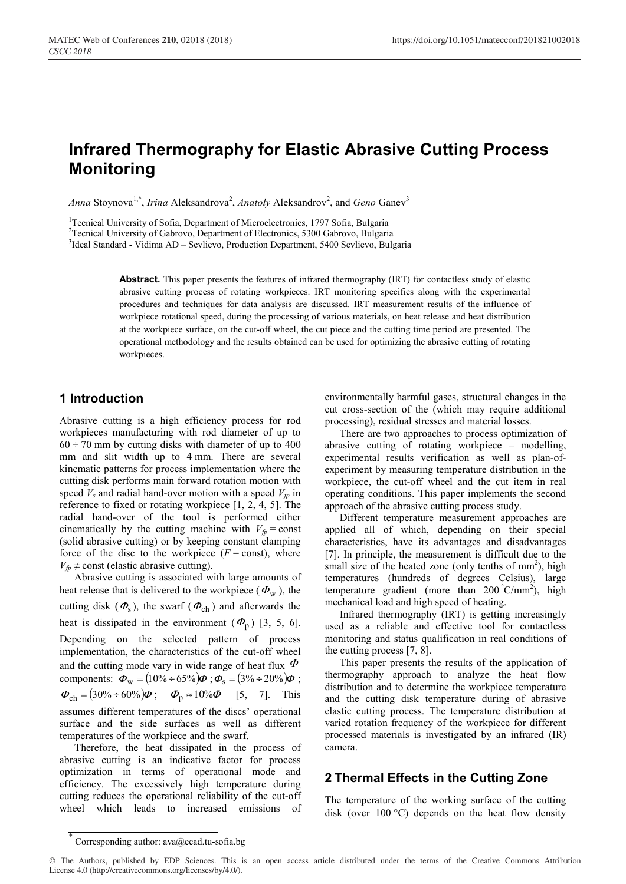# **Infrared Thermography for Elastic Abrasive Cutting Process Monitoring**

Anna Stoynova<sup>1,\*</sup>, *Irina* Aleksandrova<sup>2</sup>, *Anatoly* Aleksandrov<sup>2</sup>, and *Geno* Ganev<sup>3</sup>

<sup>1</sup> Tecnical University of Sofia, Department of Microelectronics, 1797 Sofia, Bulgaria <sup>2</sup> Tecnical University of Gabrovo, Department of Electronics, 5300 Gabrovo, Bulgaria

<sup>2</sup>Tecnical University of Gabrovo, Department of Electronics, 5300 Gabrovo, Bulgaria

<sup>3</sup>Ideal Standard - Vidima AD – Sevlievo, Production Department, 5400 Sevlievo, Bulgaria

**Abstract.** This paper presents the features of infrared thermography (IRT) for contactless study of elastic abrasive cutting process of rotating workpieces. IRT monitoring specifics along with the experimental procedures and techniques for data analysis are discussed. IRT measurement results of the influence of workpiece rotational speed, during the processing of various materials, on heat release and heat distribution at the workpiece surface, on the cut-off wheel, the cut piece and the cutting time period are presented. The operational methodology and the results obtained can be used for optimizing the abrasive cutting of rotating workpieces.

### **1 Introduction**

Abrasive cutting is a high efficiency process for rod workpieces manufacturing with rod diameter of up to  $60 \div 70$  mm by cutting disks with diameter of up to 400 mm and slit width up to 4 mm. There are several kinematic patterns for process implementation where the cutting disk performs main forward rotation motion with speed  $V_s$  and radial hand-over motion with a speed  $V_{fp}$  in reference to fixed or rotating workpiece [1, 2, 4, 5]. The radial hand-over of the tool is performed either cinematically by the cutting machine with  $V_{fp}$  = const (solid abrasive cutting) or by keeping constant clamping force of the disc to the workpiece  $(F = const)$ , where  $V_{fp} \neq$  const (elastic abrasive cutting).

Abrasive cutting is associated with large amounts of heat release that is delivered to the workpiece ( $\Phi_{\rm w}$ ), the cutting disk  $(\Phi_{\rm s})$ , the swarf  $(\Phi_{\rm ch})$  and afterwards the heat is dissipated in the environment  $(\Phi_n)$  [3, 5, 6]. Depending on the selected pattern of process implementation, the characteristics of the cut-off wheel and the cutting mode vary in wide range of heat flux  $\Phi$ components:  $\Phi_{\rm w} = (10\% \div 65\%) \Phi$ ;  $\Phi_{\rm s} = (3\% \div 20\%) \Phi$ ;  $\Phi_{ch} = (30\% \div 60\%) \Phi$ ;  $\Phi_{p} \approx 10\% \Phi$  [5, 7]. This assumes different temperatures of the discs' operational surface and the side surfaces as well as different temperatures of the workpiece and the swarf.

Therefore, the heat dissipated in the process of abrasive cutting is an indicative factor for process optimization in terms of operational mode and efficiency. The excessively high temperature during cutting reduces the operational reliability of the cut-off wheel which leads to increased emissions of environmentally harmful gases, structural changes in the cut cross-section of the (which may require additional processing), residual stresses and material losses.

There are two approaches to process optimization of abrasive cutting of rotating workpiece – modelling, experimental results verification as well as plan-ofexperiment by measuring temperature distribution in the workpiece, the cut-off wheel and the cut item in real operating conditions. This paper implements the second approach of the abrasive cutting process study.

Different temperature measurement approaches are applied all of which, depending on their special characteristics, have its advantages and disadvantages [7]. In principle, the measurement is difficult due to the small size of the heated zone (only tenths of mm<sup>2</sup>), high temperatures (hundreds of degrees Celsius), large temperature gradient (more than  $200\degree$ C/mm<sup>2</sup>), high mechanical load and high speed of heating.

Infrared thermography (IRT) is getting increasingly used as a reliable and effective tool for contactless monitoring and status qualification in real conditions of the cutting process [7, 8].

This paper presents the results of the application of thermography approach to analyze the heat flow distribution and to determine the workpiece temperature and the cutting disk temperature during of abrasive elastic cutting process. The temperature distribution at varied rotation frequency of the workpiece for different processed materials is investigated by an infrared (IR) camera.

# **2 Thermal Effects in the Cutting Zone**

The temperature of the working surface of the cutting disk (over  $100 \degree C$ ) depends on the heat flow density

<sup>\*</sup> Corresponding author: ava@ecad.tu-sofia.bg

<sup>©</sup> The Authors, published by EDP Sciences. This is an open access article distributed under the terms of the Creative Commons Attribution License 4.0 (http://creativecommons.org/licenses/by/4.0/).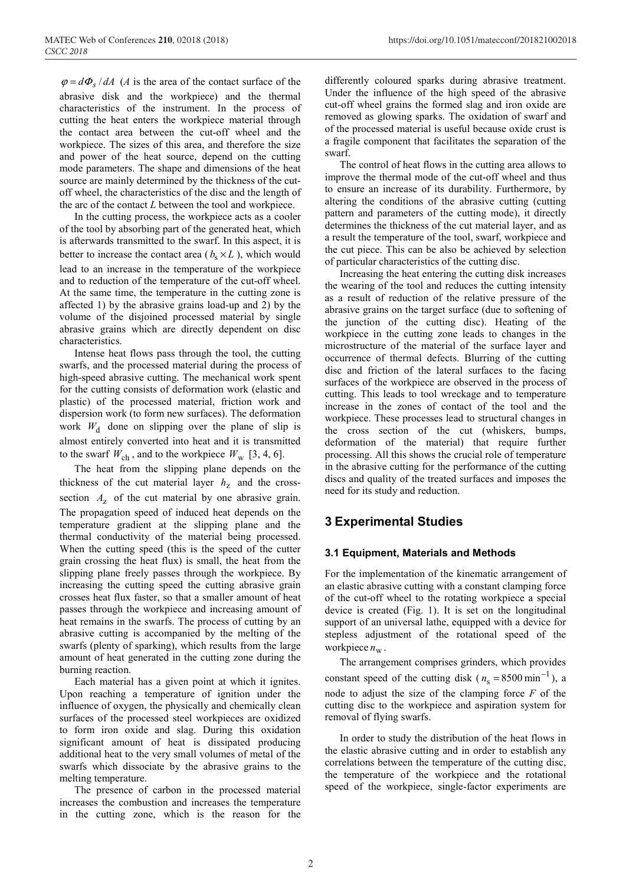$\varphi = d\varPhi$ <sub>s</sub> / *dA* (*A* is the area of the contact surface of the abrasive disk and the workpiece) and the thermal characteristics of the instrument. In the process of cutting the heat enters the workpiece material through the contact area between the cut-off wheel and the workpiece. The sizes of this area, and therefore the size and power of the heat source, depend on the cutting mode parameters. The shape and dimensions of the heat source are mainly determined by the thickness of the cutoff wheel, the characteristics of the disc and the length of the arc of the contact *L* between the tool and workpiece.

In the cutting process, the workpiece acts as a cooler of the tool by absorbing part of the generated heat, which is afterwards transmitted to the swarf. In this aspect, it is better to increase the contact area ( $b_s \times L$ ), which would lead to an increase in the temperature of the workpiece and to reduction of the temperature of the cut-off wheel. At the same time, the temperature in the cutting zone is affected 1) by the abrasive grains load-up and 2) by the volume of the disjoined processed material by single abrasive grains which are directly dependent on disc characteristics.

Intense heat flows pass through the tool, the cutting swarfs, and the processed material during the process of high-speed abrasive cutting. The mechanical work spent for the cutting consists of deformation work (elastic and plastic) of the processed material, friction work and dispersion work (to form new surfaces). The deformation work  $W_d$  done on slipping over the plane of slip is almost entirely converted into heat and it is transmitted to the swarf  $W_{ch}$ , and to the workpiece  $W_{w}$  [3, 4, 6].

The heat from the slipping plane depends on the thickness of the cut material layer  $h<sub>z</sub>$  and the crosssection  $A<sub>z</sub>$  of the cut material by one abrasive grain. The propagation speed of induced heat depends on the temperature gradient at the slipping plane and the thermal conductivity of the material being processed. When the cutting speed (this is the speed of the cutter grain crossing the heat flux) is small, the heat from the slipping plane freely passes through the workpiece. By increasing the cutting speed the cutting abrasive grain crosses heat flux faster, so that a smaller amount of heat passes through the workpiece and increasing amount of heat remains in the swarfs. The process of cutting by an abrasive cutting is accompanied by the melting of the swarfs (plenty of sparking), which results from the large amount of heat generated in the cutting zone during the burning reaction.

Each material has a given point at which it ignites. Upon reaching a temperature of ignition under the influence of oxygen, the physically and chemically clean surfaces of the processed steel workpieces are oxidized to form iron oxide and slag. During this oxidation significant amount of heat is dissipated producing additional heat to the very small volumes of metal of the swarfs which dissociate by the abrasive grains to the melting temperature.

The presence of carbon in the processed material increases the combustion and increases the temperature in the cutting zone, which is the reason for the

differently coloured sparks during abrasive treatment. Under the influence of the high speed of the abrasive cut-off wheel grains the formed slag and iron oxide are removed as glowing sparks. The oxidation of swarf and of the processed material is useful because oxide crust is a fragile component that facilitates the separation of the swarf.

The control of heat flows in the cutting area allows to improve the thermal mode of the cut-off wheel and thus to ensure an increase of its durability. Furthermore, by altering the conditions of the abrasive cutting (cutting pattern and parameters of the cutting mode), it directly determines the thickness of the cut material layer, and as a result the temperature of the tool, swarf, workpiece and the cut piece. This can be also be achieved by selection of particular characteristics of the cutting disc.

Increasing the heat entering the cutting disk increases the wearing of the tool and reduces the cutting intensity as a result of reduction of the relative pressure of the abrasive grains on the target surface (due to softening of the junction of the cutting disc). Heating of the workpiece in the cutting zone leads to changes in the microstructure of the material of the surface layer and occurrence of thermal defects. Blurring of the cutting disc and friction of the lateral surfaces to the facing surfaces of the workpiece are observed in the process of cutting. This leads to tool wreckage and to temperature increase in the zones of contact of the tool and the workpiece. These processes lead to structural changes in the cross section of the cut (whiskers, bumps, deformation of the material) that require further processing. All this shows the crucial role of temperature in the abrasive cutting for the performance of the cutting discs and quality of the treated surfaces and imposes the need for its study and reduction.

# **3 Experimental Studies**

#### **3.1 Equipment, Materials and Methods**

For the implementation of the kinematic arrangement of an elastic abrasive cutting with a constant clamping force of the cut-off wheel to the rotating workpiece a special device is created (Fig. 1). It is set on the longitudinal support of an universal lathe, equipped with a device for stepless adjustment of the rotational speed of the workpiece  $n_w$ .

The arrangement comprises grinders, which provides constant speed of the cutting disk ( $n_s = 8500 \text{ min}^{-1}$ ), a node to adjust the size of the clamping force *F* of the cutting disc to the workpiece and aspiration system for removal of flying swarfs.

In order to study the distribution of the heat flows in the elastic abrasive cutting and in order to establish any correlations between the temperature of the cutting disc, the temperature of the workpiece and the rotational speed of the workpiece, single-factor experiments are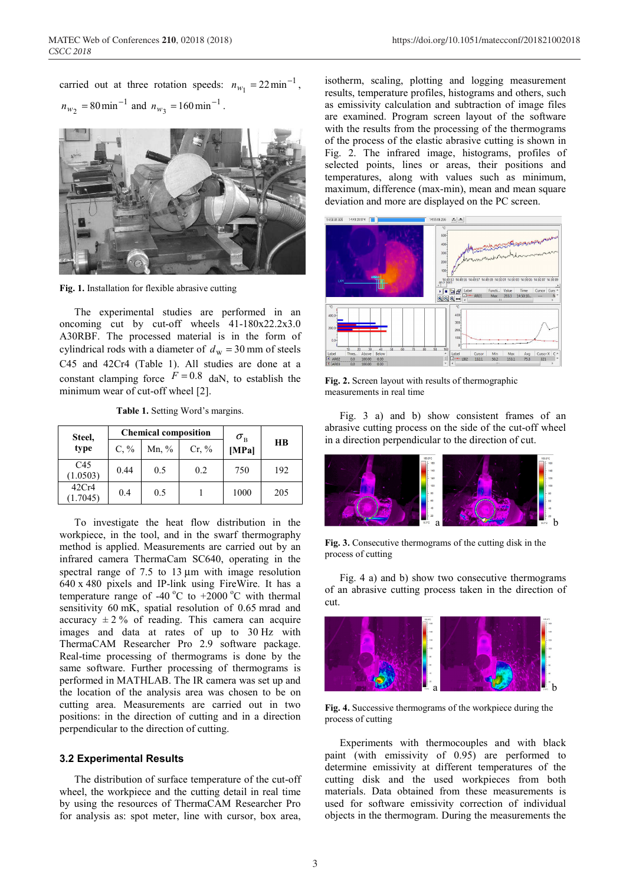carried out at three rotation speeds:  $n_{w_1} = 22 \text{min}^{-1}$ ,  $n_{w_2}$  = 80 min<sup>-1</sup> and  $n_{w_3}$  = 160 min<sup>-1</sup>.



**Fig. 1.** Installation for flexible abrasive cutting

The experimental studies are performed in an oncoming cut by cut-off wheels 41-180x22.2x3.0 А30RBF. The processed material is in the form of cylindrical rods with a diameter of  $d_w = 30$  mm of steels C45 and 42Cr4 (Table 1). All studies are done at a constant clamping force  $F = 0.8$  daN, to establish the minimum wear of cut-off wheel [2].

|  |  | <b>Table 1.</b> Setting Word's margins. |
|--|--|-----------------------------------------|
|  |  |                                         |

| Steel,<br>type              |         | <b>Chemical composition</b> | $\sigma_{\textrm{\tiny B}}$ |       |           |
|-----------------------------|---------|-----------------------------|-----------------------------|-------|-----------|
|                             | $C, \%$ | Mn, $\%$                    | Cr, %                       | [MPa] | <b>HB</b> |
| C <sub>45</sub><br>(1.0503) | 0.44    | 0.5                         | 0.2                         | 750   | 192       |
| 42Cr4<br>(1.7045)           | 0.4     | 0.5                         |                             | 1000  | 205       |

To investigate the heat flow distribution in the workpiece, in the tool, and in the swarf thermography method is applied. Measurements are carried out by an infrared camera ThermaCam SC640, operating in the spectral range of 7.5 to 13  $\mu$ m with image resolution 640 x 480 pixels and IP-link using FireWire. It has a temperature range of -40 °C to +2000 °C with thermal sensitivity 60 mK, spatial resolution of 0.65 mrad and accuracy  $\pm 2\%$  of reading. This camera can acquire images and data at rates of up to 30 Hz with ThermaCAM Researcher Pro 2.9 software package. Real-time processing of thermograms is done by the same software. Further processing of thermograms is performed in MATHLAB. The IR camera was set up and the location of the analysis area was chosen to be on cutting area. Measurements are carried out in two positions: in the direction of cutting and in a direction perpendicular to the direction of cutting.

#### **3.2 Experimental Results**

The distribution of surface temperature of the cut-off wheel, the workpiece and the cutting detail in real time by using the resources of ThermaCAM Researcher Pro for analysis as: spot meter, line with cursor, box area,

isotherm, scaling, plotting and logging measurement results, temperature profiles, histograms and others, such as emissivity calculation and subtraction of image files are examined. Program screen layout of the software with the results from the processing of the thermograms of the process of the elastic abrasive cutting is shown in Fig. 2. The infrared image, histograms, profiles of selected points, lines or areas, their positions and temperatures, along with values such as minimum, maximum, difference (max-min), mean and mean square deviation and more are displayed on the PC screen.



**Fig. 2.** Screen layout with results of thermographic measurements in real time

Fig. 3 a) and b) show consistent frames of an abrasive cutting process on the side of the cut-off wheel in a direction perpendicular to the direction of cut.



**Fig. 3.** Consecutive thermograms of the cutting disk in the process of cutting

Fig. 4 a) and b) show two consecutive thermograms of an abrasive cutting process taken in the direction of cut.



**Fig. 4.** Successive thermograms of the workpiece during the process of cutting

Experiments with thermocouples and with black paint (with emissivity of 0.95) are performed to determine emissivity at different temperatures of the cutting disk and the used workpieces from both materials. Data obtained from these measurements is used for software emissivity correction of individual objects in the thermogram. During the measurements the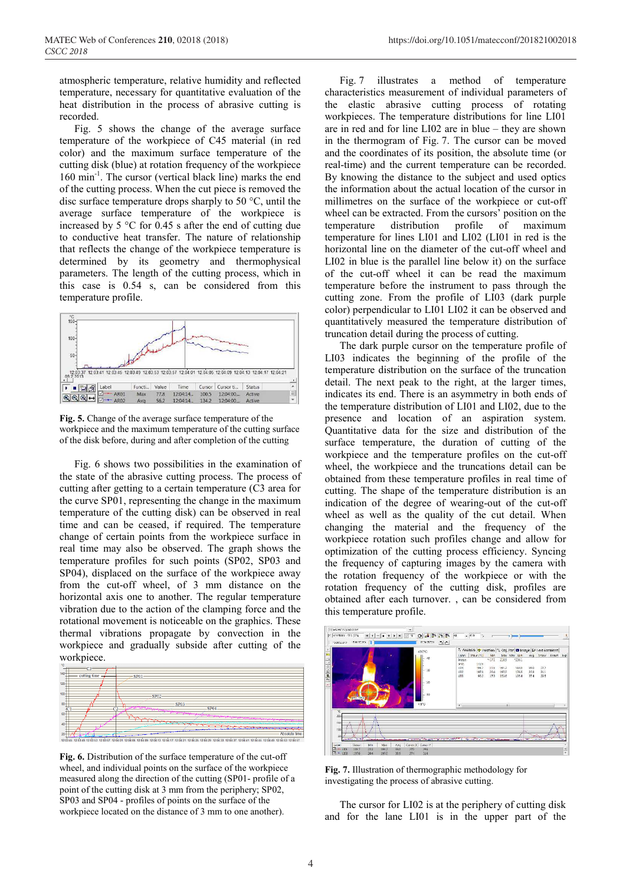atmospheric temperature, relative humidity and reflected temperature, necessary for quantitative evaluation of the heat distribution in the process of abrasive cutting is recorded.

Fig. 5 shows the change of the average surface temperature of the workpiece of C45 material (in red color) and the maximum surface temperature of the cutting disk (blue) at rotation frequency of the workpiece 160 min<sup>-1</sup>. The cursor (vertical black line) marks the end of the cutting process. When the cut piece is removed the disc surface temperature drops sharply to 50 °C, until the average surface temperature of the workpiece is increased by 5 °C for 0.45 s after the end of cutting due to conductive heat transfer. The nature of relationship that reflects the change of the workpiece temperature is determined by its geometry and thermophysical parameters. The length of the cutting process, which in this case is 0.54 s, can be considered from this temperature profile.



**Fig. 5.** Change of the average surface temperature of the workpiece and the maximum temperature of the cutting surface of the disk before, during and after completion of the cutting

Fig. 6 shows two possibilities in the examination of the state of the abrasive cutting process. The process of cutting after getting to a certain temperature (C3 area for the curve SP01, representing the change in the maximum temperature of the cutting disk) can be observed in real time and can be ceased, if required. The temperature change of certain points from the workpiece surface in real time may also be observed. The graph shows the temperature profiles for such points (SP02, SP03 and SP04), displaced on the surface of the workpiece away from the cut-off wheel, of 3 mm distance on the horizontal axis one to another. The regular temperature vibration due to the action of the clamping force and the rotational movement is noticeable on the graphics. These thermal vibrations propagate by convection in the workpiece and gradually subside after cutting of the workpiece.



**Fig. 6.** Distribution of the surface temperature of the cut-off wheel, and individual points on the surface of the workpiece measured along the direction of the cutting (SP01- profile of a point of the cutting disk at 3 mm from the periphery; SP02, SP03 and SP04 - profiles of points on the surface of the workpiece located on the distance of 3 mm to one another).

Fig. 7 illustrates a method of temperature characteristics measurement of individual parameters of the elastic abrasive cutting process of rotating workpieces. The temperature distributions for line LI01 are in red and for line LI02 are in blue – they are shown in the thermogram of Fig. 7. The cursor can be moved and the coordinates of its position, the absolute time (or real-time) and the current temperature can be recorded. By knowing the distance to the subject and used optics the information about the actual location of the cursor in millimetres on the surface of the workpiece or cut-off wheel can be extracted. From the cursors' position on the temperature distribution profile of maximum temperature for lines LI01 and LI02 (LI01 in red is the horizontal line on the diameter of the cut-off wheel and LI02 in blue is the parallel line below it) on the surface of the cut-off wheel it can be read the maximum temperature before the instrument to pass through the cutting zone. From the profile of LI03 (dark purple color) perpendicular to LI01 LI02 it can be observed and quantitatively measured the temperature distribution of truncation detail during the process of cutting.

The dark purple cursor on the temperature profile of LI03 indicates the beginning of the profile of the temperature distribution on the surface of the truncation detail. The next peak to the right, at the larger times, indicates its end. There is an asymmetry in both ends of the temperature distribution of LI01 and LI02, due to the presence and location of an aspiration system. Quantitative data for the size and distribution of the surface temperature, the duration of cutting of the workpiece and the temperature profiles on the cut-off wheel, the workpiece and the truncations detail can be obtained from these temperature profiles in real time of cutting. The shape of the temperature distribution is an indication of the degree of wearing-out of the cut-off wheel as well as the quality of the cut detail. When changing the material and the frequency of the workpiece rotation such profiles change and allow for optimization of the cutting process efficiency. Syncing the frequency of capturing images by the camera with the rotation frequency of the workpiece or with the rotation frequency of the cutting disk, profiles are obtained after each turnover. , can be considered from this temperature profile.



**Fig. 7.** Illustration of thermographic methodology for investigating the process of abrasive cutting.

The cursor for LI02 is at the periphery of cutting disk and for the lane LI01 is in the upper part of the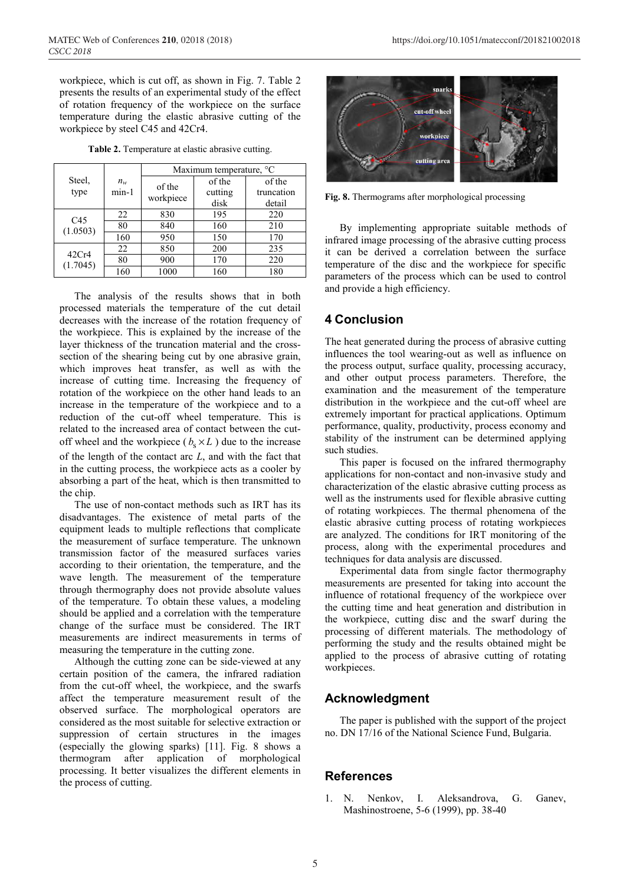workpiece, which is cut off, as shown in Fig. 7. Table 2 presents the results of an experimental study of the effect of rotation frequency of the workpiece on the surface temperature during the elastic abrasive cutting of the workpiece by steel C45 and 42Cr4.

**Table 2.** Temperature at elastic abrasive cutting.

| Steel.<br>type              |         | Maximum temperature, °C |         |            |  |
|-----------------------------|---------|-------------------------|---------|------------|--|
|                             | $n_w$   | of the<br>workpiece     | of the  | of the     |  |
|                             | $min-1$ |                         | cutting | truncation |  |
|                             |         |                         | disk    | detail     |  |
| C <sub>45</sub><br>(1.0503) | 22      | 830                     | 195     | 220        |  |
|                             | 80      | 840                     | 160     | 210        |  |
|                             | 160     | 950                     | 150     | 170        |  |
| 42Cr4<br>(1.7045)           | 22      | 850                     | 200     | 235        |  |
|                             | 80      | 900                     | 170     | 220        |  |
|                             | 160     | 1000                    | 160     | 180        |  |

The analysis of the results shows that in both processed materials the temperature of the cut detail decreases with the increase of the rotation frequency of the workpiece. This is explained by the increase of the layer thickness of the truncation material and the crosssection of the shearing being cut by one abrasive grain, which improves heat transfer, as well as with the increase of cutting time. Increasing the frequency of rotation of the workpiece on the other hand leads to an increase in the temperature of the workpiece and to a reduction of the cut-off wheel temperature. This is related to the increased area of contact between the cutoff wheel and the workpiece ( $b_s \times L$ ) due to the increase of the length of the contact arc *L*, and with the fact that in the cutting process, the workpiece acts as a cooler by absorbing a part of the heat, which is then transmitted to the chip.

The use of non-contact methods such as IRT has its disadvantages. The existence of metal parts of the equipment leads to multiple reflections that complicate the measurement of surface temperature. The unknown transmission factor of the measured surfaces varies according to their orientation, the temperature, and the wave length. The measurement of the temperature through thermography does not provide absolute values of the temperature. To obtain these values, a modeling should be applied and a correlation with the temperature change of the surface must be considered. The IRT measurements are indirect measurements in terms of measuring the temperature in the cutting zone.

Although the cutting zone can be side-viewed at any certain position of the camera, the infrared radiation from the cut-off wheel, the workpiece, and the swarfs affect the temperature measurement result of the observed surface. The morphological operators are considered as the most suitable for selective extraction or suppression of certain structures in the images (especially the glowing sparks) [11]. Fig. 8 shows a thermogram after application of morphological processing. It better visualizes the different elements in the process of cutting.



**Fig. 8.** Thermograms after morphological processing

By implementing appropriate suitable methods of infrared image processing of the abrasive cutting process it can be derived a correlation between the surface temperature of the disc and the workpiece for specific parameters of the process which can be used to control and provide a high efficiency.

# **4 Conclusion**

The heat generated during the process of abrasive cutting influences the tool wearing-out as well as influence on the process output, surface quality, processing accuracy, and other output process parameters. Therefore, the examination and the measurement of the temperature distribution in the workpiece and the cut-off wheel are extremely important for practical applications. Optimum performance, quality, productivity, process economy and stability of the instrument can be determined applying such studies.

This paper is focused on the infrared thermography applications for non-contact and non-invasive study and characterization of the elastic abrasive cutting process as well as the instruments used for flexible abrasive cutting of rotating workpieces. The thermal phenomena of the elastic abrasive cutting process of rotating workpieces are analyzed. The conditions for IRT monitoring of the process, along with the experimental procedures and techniques for data analysis are discussed.

Experimental data from single factor thermography measurements are presented for taking into account the influence of rotational frequency of the workpiece over the cutting time and heat generation and distribution in the workpiece, cutting disc and the swarf during the processing of different materials. The methodology of performing the study and the results obtained might be applied to the process of abrasive cutting of rotating workpieces.

# **Acknowledgment**

The paper is published with the support of the project no. DN 17/16 of the National Science Fund, Bulgaria.

### **References**

1. N. Nenkov, I. Аleksandrova, G. Ganev, Маshinostroene, 5-6 (1999), рp. 38-40